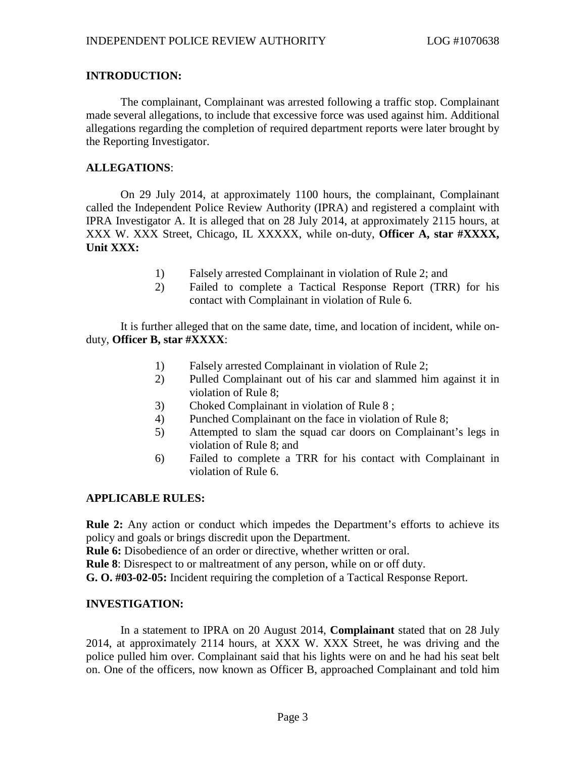# **INTRODUCTION:**

The complainant, Complainant was arrested following a traffic stop. Complainant made several allegations, to include that excessive force was used against him. Additional allegations regarding the completion of required department reports were later brought by the Reporting Investigator.

# **ALLEGATIONS**:

On 29 July 2014, at approximately 1100 hours, the complainant, Complainant called the Independent Police Review Authority (IPRA) and registered a complaint with IPRA Investigator A. It is alleged that on 28 July 2014, at approximately 2115 hours, at XXX W. XXX Street, Chicago, IL XXXXX, while on-duty, **Officer A, star #XXXX, Unit XXX:**

- 1) Falsely arrested Complainant in violation of Rule 2; and
- 2) Failed to complete a Tactical Response Report (TRR) for his contact with Complainant in violation of Rule 6.

It is further alleged that on the same date, time, and location of incident, while onduty, **Officer B, star #XXXX**:

- 1) Falsely arrested Complainant in violation of Rule 2;
- 2) Pulled Complainant out of his car and slammed him against it in violation of Rule 8;
- 3) Choked Complainant in violation of Rule 8 ;
- 4) Punched Complainant on the face in violation of Rule 8;
- 5) Attempted to slam the squad car doors on Complainant's legs in violation of Rule 8; and
- 6) Failed to complete a TRR for his contact with Complainant in violation of Rule 6.

### **APPLICABLE RULES:**

**Rule 2:** Any action or conduct which impedes the Department's efforts to achieve its policy and goals or brings discredit upon the Department.

**Rule 6:** Disobedience of an order or directive, whether written or oral.

**Rule 8**: Disrespect to or maltreatment of any person, while on or off duty.

**G. O. #03-02-05:** Incident requiring the completion of a Tactical Response Report.

### **INVESTIGATION:**

In a statement to IPRA on 20 August 2014, **Complainant** stated that on 28 July 2014, at approximately 2114 hours, at XXX W. XXX Street, he was driving and the police pulled him over. Complainant said that his lights were on and he had his seat belt on. One of the officers, now known as Officer B, approached Complainant and told him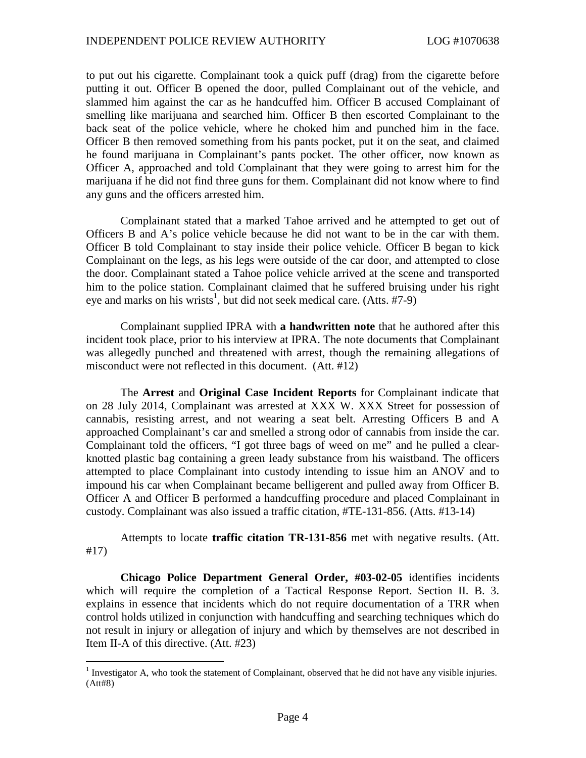to put out his cigarette. Complainant took a quick puff (drag) from the cigarette before putting it out. Officer B opened the door, pulled Complainant out of the vehicle, and slammed him against the car as he handcuffed him. Officer B accused Complainant of smelling like marijuana and searched him. Officer B then escorted Complainant to the back seat of the police vehicle, where he choked him and punched him in the face. Officer B then removed something from his pants pocket, put it on the seat, and claimed he found marijuana in Complainant's pants pocket. The other officer, now known as Officer A, approached and told Complainant that they were going to arrest him for the marijuana if he did not find three guns for them. Complainant did not know where to find any guns and the officers arrested him.

Complainant stated that a marked Tahoe arrived and he attempted to get out of Officers B and A's police vehicle because he did not want to be in the car with them. Officer B told Complainant to stay inside their police vehicle. Officer B began to kick Complainant on the legs, as his legs were outside of the car door, and attempted to close the door. Complainant stated a Tahoe police vehicle arrived at the scene and transported him to the police station. Complainant claimed that he suffered bruising under his right eye and marks on his wrists<sup>1</sup>, but did not seek medical care. (Atts. #7-9)

Complainant supplied IPRA with **a handwritten note** that he authored after this incident took place, prior to his interview at IPRA. The note documents that Complainant was allegedly punched and threatened with arrest, though the remaining allegations of misconduct were not reflected in this document. (Att. #12)

The **Arrest** and **Original Case Incident Reports** for Complainant indicate that on 28 July 2014, Complainant was arrested at XXX W. XXX Street for possession of cannabis, resisting arrest, and not wearing a seat belt. Arresting Officers B and A approached Complainant's car and smelled a strong odor of cannabis from inside the car. Complainant told the officers, "I got three bags of weed on me" and he pulled a clearknotted plastic bag containing a green leady substance from his waistband. The officers attempted to place Complainant into custody intending to issue him an ANOV and to impound his car when Complainant became belligerent and pulled away from Officer B. Officer A and Officer B performed a handcuffing procedure and placed Complainant in custody. Complainant was also issued a traffic citation, #TE-131-856. (Atts. #13-14)

Attempts to locate **traffic citation TR-131-856** met with negative results. (Att. #17)

**Chicago Police Department General Order, #03-02-05** identifies incidents which will require the completion of a Tactical Response Report. Section II. B. 3. explains in essence that incidents which do not require documentation of a TRR when control holds utilized in conjunction with handcuffing and searching techniques which do not result in injury or allegation of injury and which by themselves are not described in Item II-A of this directive. (Att. #23)

<sup>&</sup>lt;sup>1</sup> Investigator A, who took the statement of Complainant, observed that he did not have any visible injuries. (Att#8)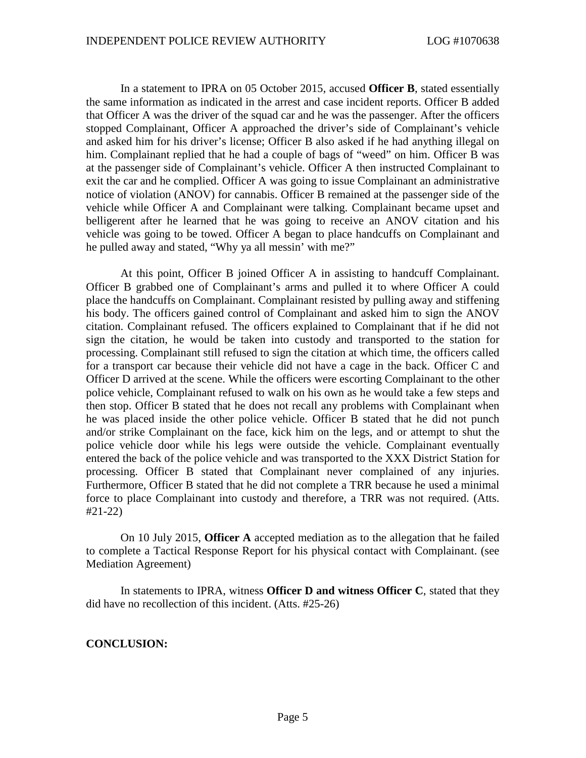In a statement to IPRA on 05 October 2015, accused **Officer B**, stated essentially the same information as indicated in the arrest and case incident reports. Officer B added that Officer A was the driver of the squad car and he was the passenger. After the officers stopped Complainant, Officer A approached the driver's side of Complainant's vehicle and asked him for his driver's license; Officer B also asked if he had anything illegal on him. Complainant replied that he had a couple of bags of "weed" on him. Officer B was at the passenger side of Complainant's vehicle. Officer A then instructed Complainant to exit the car and he complied. Officer A was going to issue Complainant an administrative notice of violation (ANOV) for cannabis. Officer B remained at the passenger side of the vehicle while Officer A and Complainant were talking. Complainant became upset and belligerent after he learned that he was going to receive an ANOV citation and his vehicle was going to be towed. Officer A began to place handcuffs on Complainant and he pulled away and stated, "Why ya all messin' with me?"

At this point, Officer B joined Officer A in assisting to handcuff Complainant. Officer B grabbed one of Complainant's arms and pulled it to where Officer A could place the handcuffs on Complainant. Complainant resisted by pulling away and stiffening his body. The officers gained control of Complainant and asked him to sign the ANOV citation. Complainant refused. The officers explained to Complainant that if he did not sign the citation, he would be taken into custody and transported to the station for processing. Complainant still refused to sign the citation at which time, the officers called for a transport car because their vehicle did not have a cage in the back. Officer C and Officer D arrived at the scene. While the officers were escorting Complainant to the other police vehicle, Complainant refused to walk on his own as he would take a few steps and then stop. Officer B stated that he does not recall any problems with Complainant when he was placed inside the other police vehicle. Officer B stated that he did not punch and/or strike Complainant on the face, kick him on the legs, and or attempt to shut the police vehicle door while his legs were outside the vehicle. Complainant eventually entered the back of the police vehicle and was transported to the XXX District Station for processing. Officer B stated that Complainant never complained of any injuries. Furthermore, Officer B stated that he did not complete a TRR because he used a minimal force to place Complainant into custody and therefore, a TRR was not required. (Atts. #21-22)

On 10 July 2015, **Officer A** accepted mediation as to the allegation that he failed to complete a Tactical Response Report for his physical contact with Complainant. (see Mediation Agreement)

In statements to IPRA, witness **Officer D and witness Officer C**, stated that they did have no recollection of this incident. (Atts. #25-26)

#### **CONCLUSION:**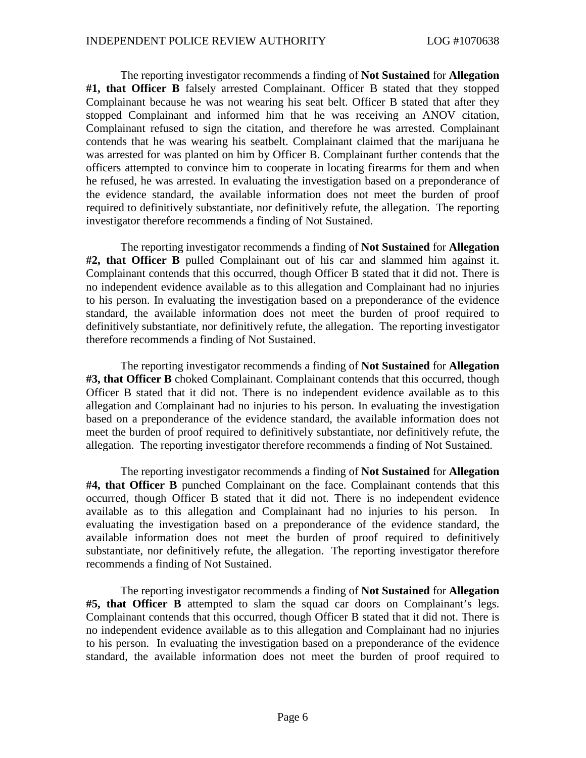The reporting investigator recommends a finding of **Not Sustained** for **Allegation #1, that Officer B** falsely arrested Complainant. Officer B stated that they stopped Complainant because he was not wearing his seat belt. Officer B stated that after they stopped Complainant and informed him that he was receiving an ANOV citation, Complainant refused to sign the citation, and therefore he was arrested. Complainant contends that he was wearing his seatbelt. Complainant claimed that the marijuana he was arrested for was planted on him by Officer B. Complainant further contends that the officers attempted to convince him to cooperate in locating firearms for them and when he refused, he was arrested. In evaluating the investigation based on a preponderance of the evidence standard, the available information does not meet the burden of proof required to definitively substantiate, nor definitively refute, the allegation. The reporting investigator therefore recommends a finding of Not Sustained.

The reporting investigator recommends a finding of **Not Sustained** for **Allegation #2, that Officer B** pulled Complainant out of his car and slammed him against it. Complainant contends that this occurred, though Officer B stated that it did not. There is no independent evidence available as to this allegation and Complainant had no injuries to his person. In evaluating the investigation based on a preponderance of the evidence standard, the available information does not meet the burden of proof required to definitively substantiate, nor definitively refute, the allegation. The reporting investigator therefore recommends a finding of Not Sustained.

The reporting investigator recommends a finding of **Not Sustained** for **Allegation #3, that Officer B** choked Complainant. Complainant contends that this occurred, though Officer B stated that it did not. There is no independent evidence available as to this allegation and Complainant had no injuries to his person. In evaluating the investigation based on a preponderance of the evidence standard, the available information does not meet the burden of proof required to definitively substantiate, nor definitively refute, the allegation. The reporting investigator therefore recommends a finding of Not Sustained.

The reporting investigator recommends a finding of **Not Sustained** for **Allegation #4, that Officer B** punched Complainant on the face. Complainant contends that this occurred, though Officer B stated that it did not. There is no independent evidence available as to this allegation and Complainant had no injuries to his person. In evaluating the investigation based on a preponderance of the evidence standard, the available information does not meet the burden of proof required to definitively substantiate, nor definitively refute, the allegation. The reporting investigator therefore recommends a finding of Not Sustained.

The reporting investigator recommends a finding of **Not Sustained** for **Allegation #5, that Officer B** attempted to slam the squad car doors on Complainant's legs. Complainant contends that this occurred, though Officer B stated that it did not. There is no independent evidence available as to this allegation and Complainant had no injuries to his person. In evaluating the investigation based on a preponderance of the evidence standard, the available information does not meet the burden of proof required to